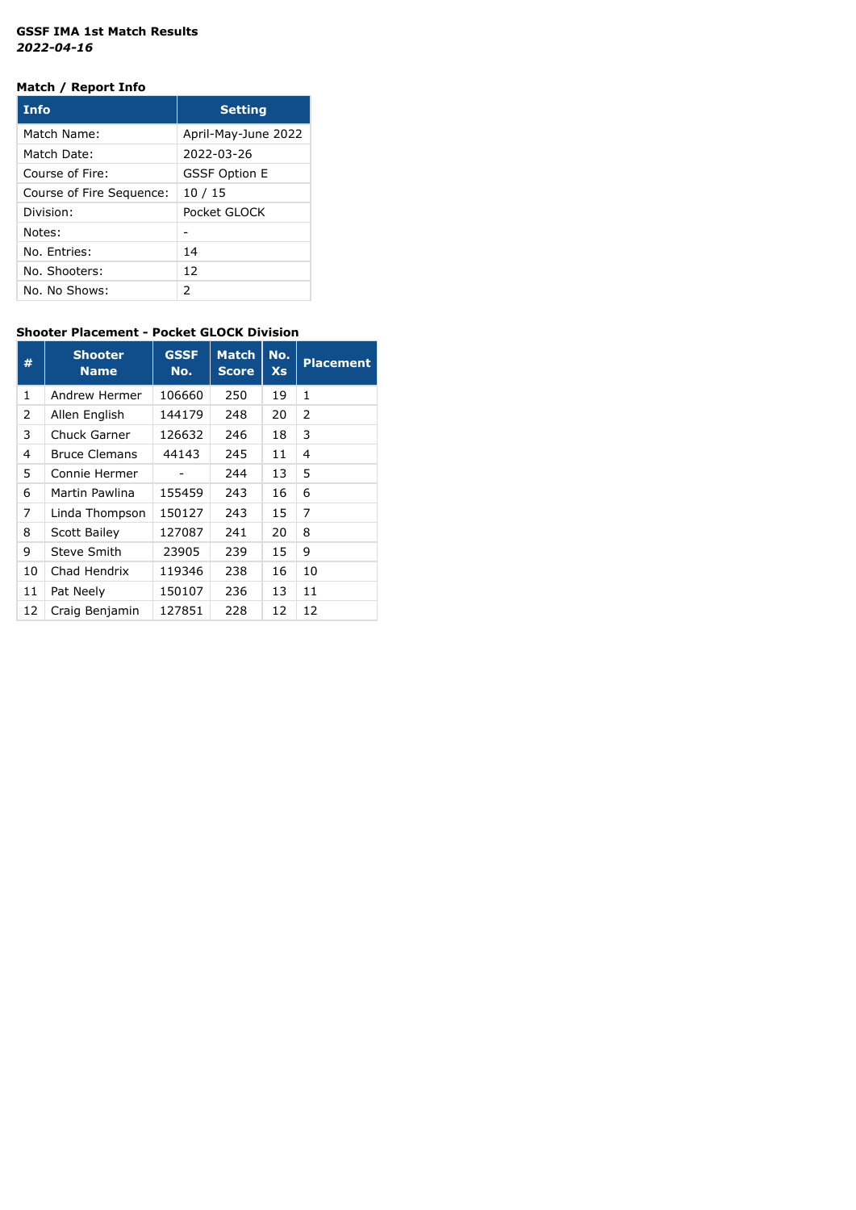#### **GSSF IMA 1st Match Results** *2022-04-16*

## **Match / Report Info**

| <b>Info</b>              | <b>Setting</b>       |
|--------------------------|----------------------|
| Match Name:              | April-May-June 2022  |
| Match Date:              | 2022-03-26           |
| Course of Fire:          | <b>GSSF Option E</b> |
| Course of Fire Sequence: | 10/15                |
| Division:                | Pocket GLOCK         |
| Notes:                   |                      |
| No. Entries:             | 14                   |
| No. Shooters:            | 12                   |
| No. No Shows:            | $\mathcal{P}$        |

# **Shooter Placement - Pocket GLOCK Division**

| #  | <b>Shooter</b><br><b>Name</b> | <b>GSSF</b><br>No. | <b>Match</b><br><b>Score</b> | No.<br><b>Xs</b> | <b>Placement</b> |
|----|-------------------------------|--------------------|------------------------------|------------------|------------------|
| 1  | Andrew Hermer                 | 106660             | 250                          | 19               | 1                |
| 2  | Allen English                 | 144179             | 248                          | 20               | 2                |
| 3  | Chuck Garner                  | 126632             | 246                          | 18               | 3                |
| 4  | <b>Bruce Clemans</b>          | 44143              | 245                          | 11               | 4                |
| 5  | Connie Hermer                 |                    | 244                          | 13               | 5                |
| 6  | Martin Pawlina                | 155459             | 243                          | 16               | 6                |
| 7  | Linda Thompson                | 150127             | 243                          | 15               | 7                |
| 8  | Scott Bailey                  | 127087             | 241                          | 20               | 8                |
| 9  | Steve Smith                   | 23905              | 239                          | 15               | 9                |
| 10 | Chad Hendrix                  | 119346             | 238                          | 16               | 10               |
| 11 | Pat Neely                     | 150107             | 236                          | 13               | 11               |
| 12 | Craig Benjamin                | 127851             | 228                          | 12               | 12               |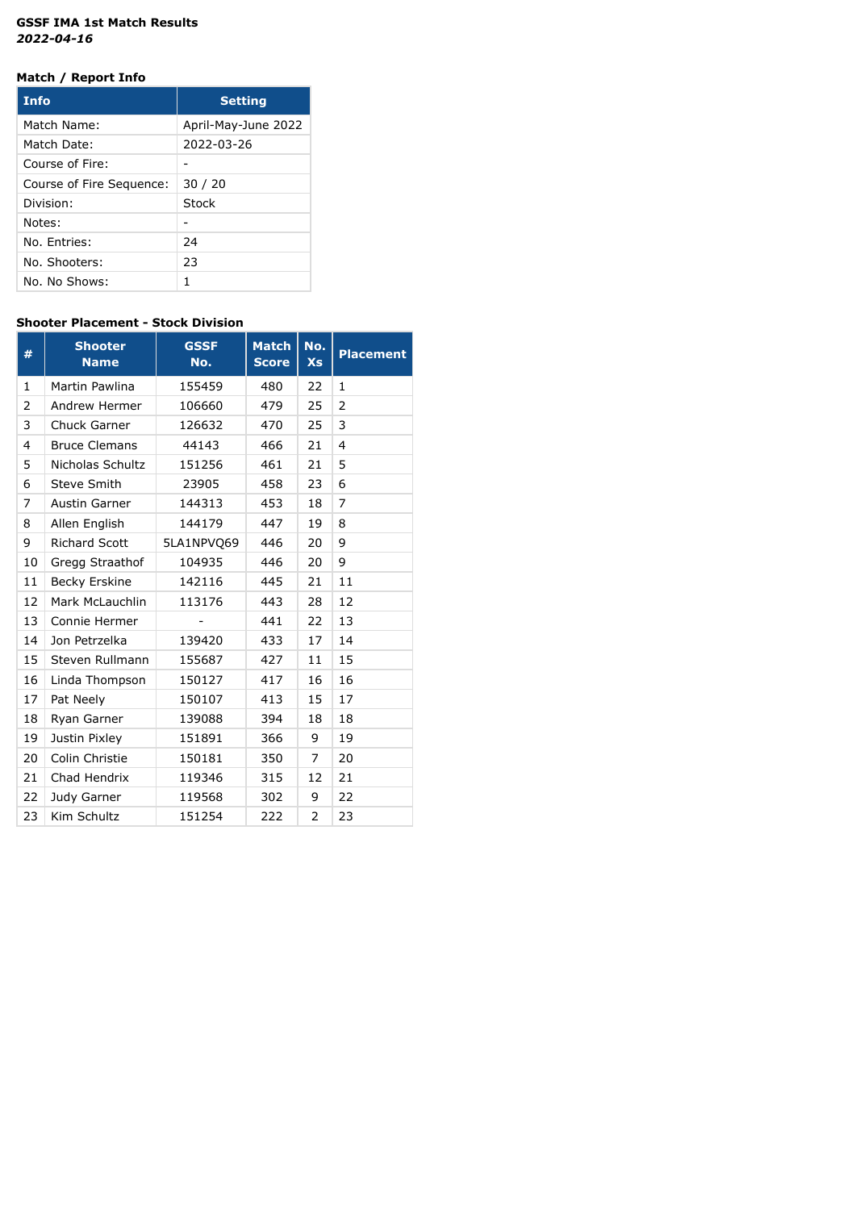### **GSSF IMA 1st Match Results** *2022-04-16*

## **Match / Report Info**

| <b>Info</b>              | <b>Setting</b>      |
|--------------------------|---------------------|
| Match Name:              | April-May-June 2022 |
| Match Date:              | 2022-03-26          |
| Course of Fire:          |                     |
| Course of Fire Sequence: | 30/20               |
| Division:                | Stock               |
| Notes:                   |                     |
| No. Entries:             | 24                  |
| No. Shooters:            | 23                  |
| No. No Shows:            | 1                   |

### **Shooter Placement - Stock Division**

| #  | <b>Shooter</b><br><b>Name</b> | <b>GSSF</b><br>No. | <b>Match</b><br><b>Score</b> | No.<br><b>Xs</b> | <b>Placement</b>        |
|----|-------------------------------|--------------------|------------------------------|------------------|-------------------------|
| 1  | Martin Pawlina                | 155459             | 480                          | 22               | 1                       |
| 2  | Andrew Hermer                 | 106660             | 479                          | 25               | 2                       |
| 3  | Chuck Garner                  | 126632             | 470                          | 25               | 3                       |
| 4  | <b>Bruce Clemans</b>          | 44143              | 466                          | 21               | $\overline{\mathbf{4}}$ |
| 5  | Nicholas Schultz              | 151256             | 461                          | 21               | 5                       |
| 6  | <b>Steve Smith</b>            | 23905              | 458                          | 23               | 6                       |
| 7  | Austin Garner                 | 144313             | 453                          | 18               | 7                       |
| 8  | Allen English                 | 144179             | 447                          | 19               | 8                       |
| 9  | <b>Richard Scott</b>          | 5LA1NPVQ69         | 446                          | 20               | 9                       |
| 10 | Gregg Straathof               | 104935             | 446                          | 20               | 9                       |
| 11 | Becky Erskine                 | 142116             | 445                          | 21               | 11                      |
| 12 | Mark McLauchlin               | 113176             | 443                          | 28               | 12                      |
| 13 | Connie Hermer                 |                    | 441                          | 22               | 13                      |
| 14 | Jon Petrzelka                 | 139420             | 433                          | 17               | 14                      |
| 15 | Steven Rullmann               | 155687             | 427                          | 11               | 15                      |
| 16 | Linda Thompson                | 150127             | 417                          | 16               | 16                      |
| 17 | Pat Neely                     | 150107             | 413                          | 15               | 17                      |
| 18 | Ryan Garner                   | 139088             | 394                          | 18               | 18                      |
| 19 | Justin Pixley                 | 151891             | 366                          | 9                | 19                      |
| 20 | Colin Christie                | 150181             | 350                          | 7                | 20                      |
| 21 | Chad Hendrix                  | 119346             | 315                          | 12               | 21                      |
| 22 | Judy Garner                   | 119568             | 302                          | 9                | 22                      |
| 23 | Kim Schultz                   | 151254             | 222                          | 2                | 23                      |